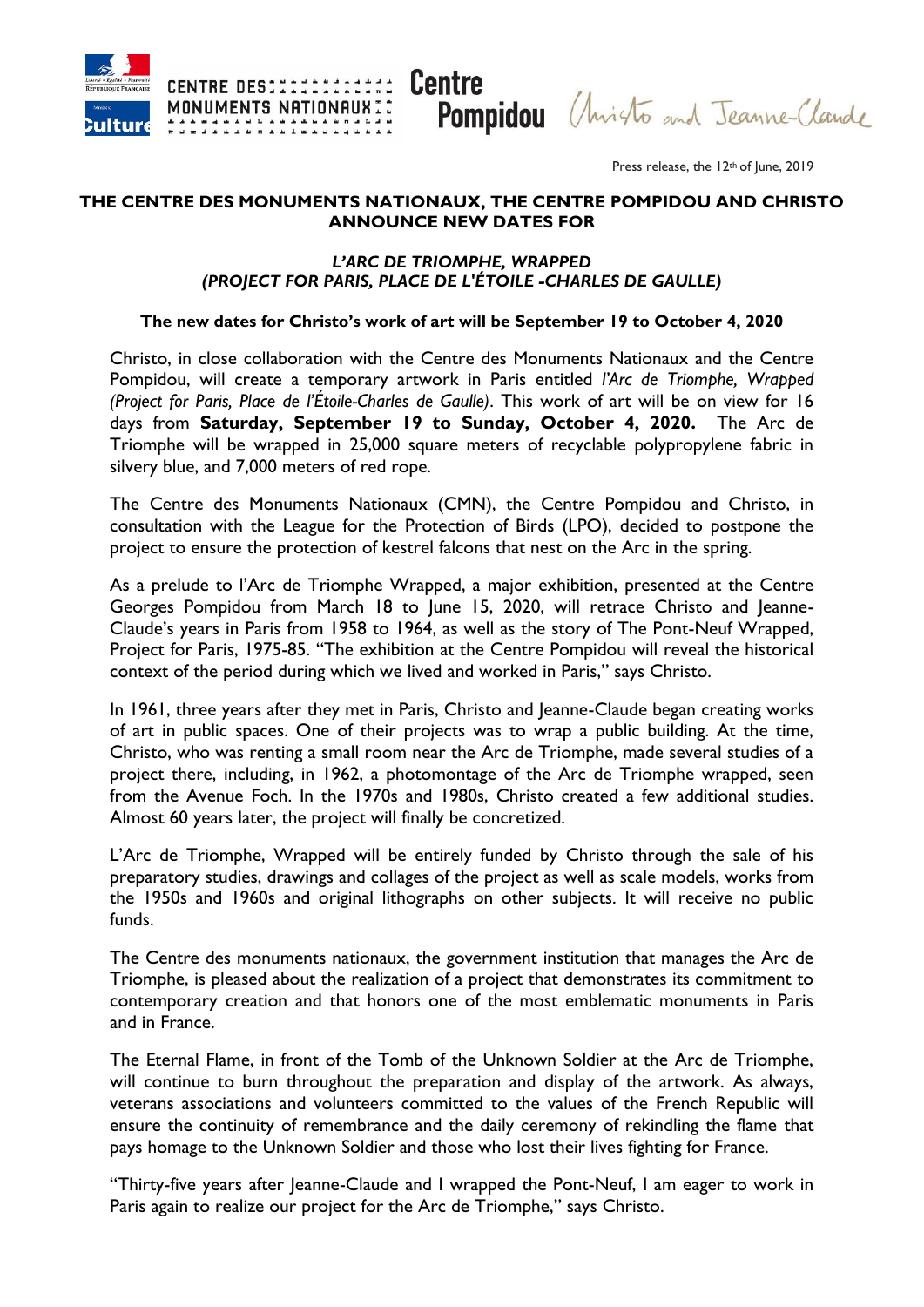

**Pompidou** (Anisto and Jeanne-Claude

Press release, the 12<sup>th</sup> of June, 2019

#### **THE CENTRE DES MONUMENTS NATIONAUX, THE CENTRE POMPIDOU AND CHRISTO ANNOUNCE NEW DATES FOR**

#### *L'ARC DE TRIOMPHE, WRAPPED (PROJECT FOR PARIS, PLACE DE L'ÉTOILE -CHARLES DE GAULLE)*

#### **The new dates for Christo's work of art will be September 19 to October 4, 2020**

Christo, in close collaboration with the Centre des Monuments Nationaux and the Centre Pompidou, will create a temporary artwork in Paris entitled *l'Arc de Triomphe, Wrapped (Project for Paris, Place de l'Étoile-Charles de Gaulle)*. This work of art will be on view for 16 days from **Saturday, September 19 to Sunday, October 4, 2020.** The Arc de Triomphe will be wrapped in 25,000 square meters of recyclable polypropylene fabric in silvery blue, and 7,000 meters of red rope.

The Centre des Monuments Nationaux (CMN), the Centre Pompidou and Christo, in consultation with the League for the Protection of Birds (LPO), decided to postpone the project to ensure the protection of kestrel falcons that nest on the Arc in the spring.

As a prelude to l'Arc de Triomphe Wrapped, a major exhibition, presented at the Centre Georges Pompidou from March 18 to June 15, 2020, will retrace Christo and Jeanne-Claude's years in Paris from 1958 to 1964, as well as the story of The Pont-Neuf Wrapped, Project for Paris, 1975-85. "The exhibition at the Centre Pompidou will reveal the historical context of the period during which we lived and worked in Paris," says Christo.

In 1961, three years after they met in Paris, Christo and Jeanne-Claude began creating works of art in public spaces. One of their projects was to wrap a public building. At the time, Christo, who was renting a small room near the Arc de Triomphe, made several studies of a project there, including, in 1962, a photomontage of the Arc de Triomphe wrapped, seen from the Avenue Foch. In the 1970s and 1980s, Christo created a few additional studies. Almost 60 years later, the project will finally be concretized.

L'Arc de Triomphe, Wrapped will be entirely funded by Christo through the sale of his preparatory studies, drawings and collages of the project as well as scale models, works from the 1950s and 1960s and original lithographs on other subjects. It will receive no public funds.

The Centre des monuments nationaux, the government institution that manages the Arc de Triomphe, is pleased about the realization of a project that demonstrates its commitment to contemporary creation and that honors one of the most emblematic monuments in Paris and in France.

The Eternal Flame, in front of the Tomb of the Unknown Soldier at the Arc de Triomphe, will continue to burn throughout the preparation and display of the artwork. As always, veterans associations and volunteers committed to the values of the French Republic will ensure the continuity of remembrance and the daily ceremony of rekindling the flame that pays homage to the Unknown Soldier and those who lost their lives fighting for France.

"Thirty-five years after Jeanne-Claude and I wrapped the Pont-Neuf, I am eager to work in Paris again to realize our project for the Arc de Triomphe," says Christo.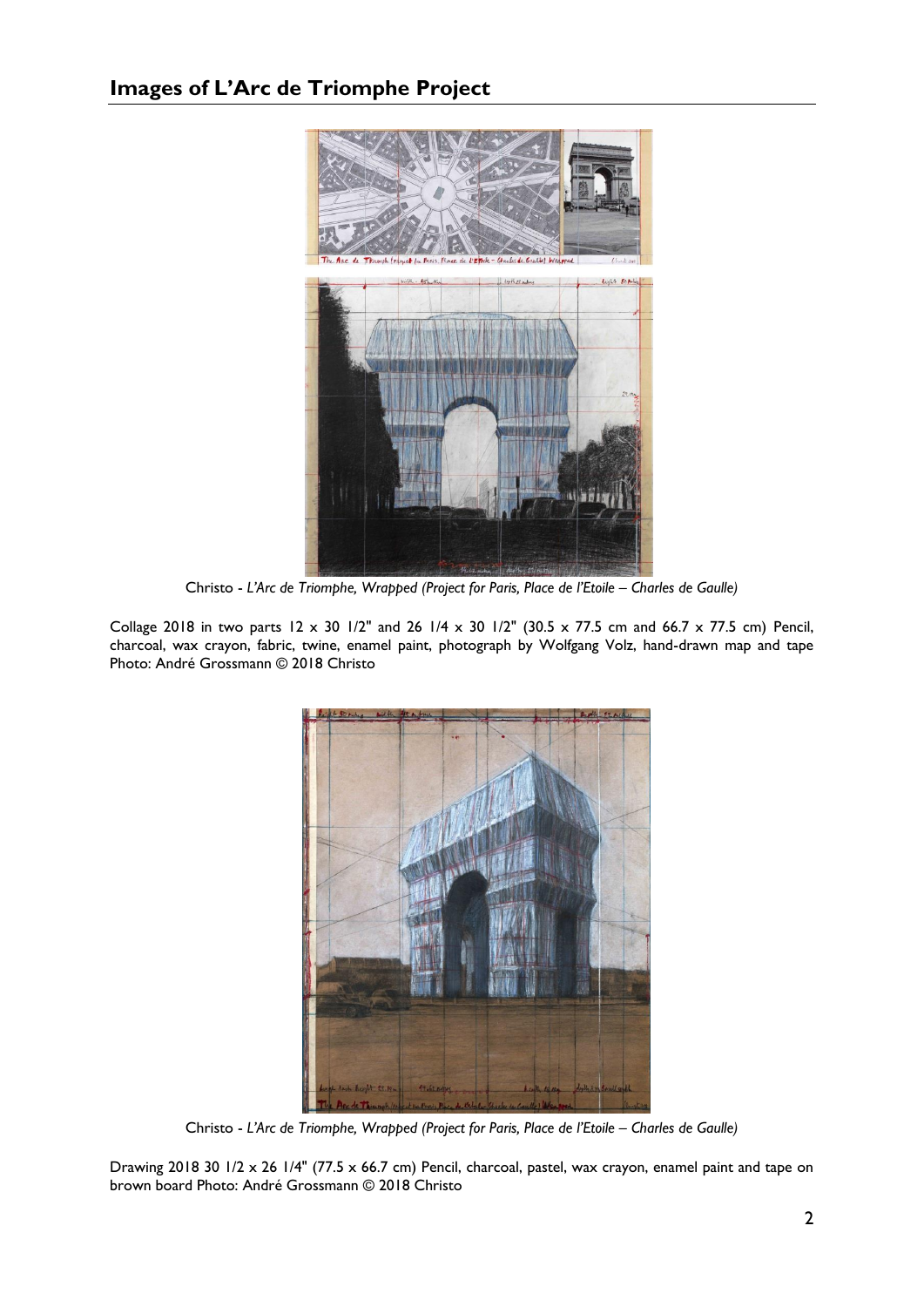

Christo - *L'Arc de Triomphe, Wrapped (Project for Paris, Place de l'Etoile – Charles de Gaulle)*

Collage 2018 in two parts  $12 \times 30$  1/2" and 26 1/4 x 30 1/2" (30.5 x 77.5 cm and 66.7 x 77.5 cm) Pencil, charcoal, wax crayon, fabric, twine, enamel paint, photograph by Wolfgang Volz, hand-drawn map and tape Photo: André Grossmann © 2018 Christo



Christo - *L'Arc de Triomphe, Wrapped (Project for Paris, Place de l'Etoile – Charles de Gaulle)*

Drawing 2018 30 1/2 x 26 1/4" (77.5 x 66.7 cm) Pencil, charcoal, pastel, wax crayon, enamel paint and tape on brown board Photo: André Grossmann © 2018 Christo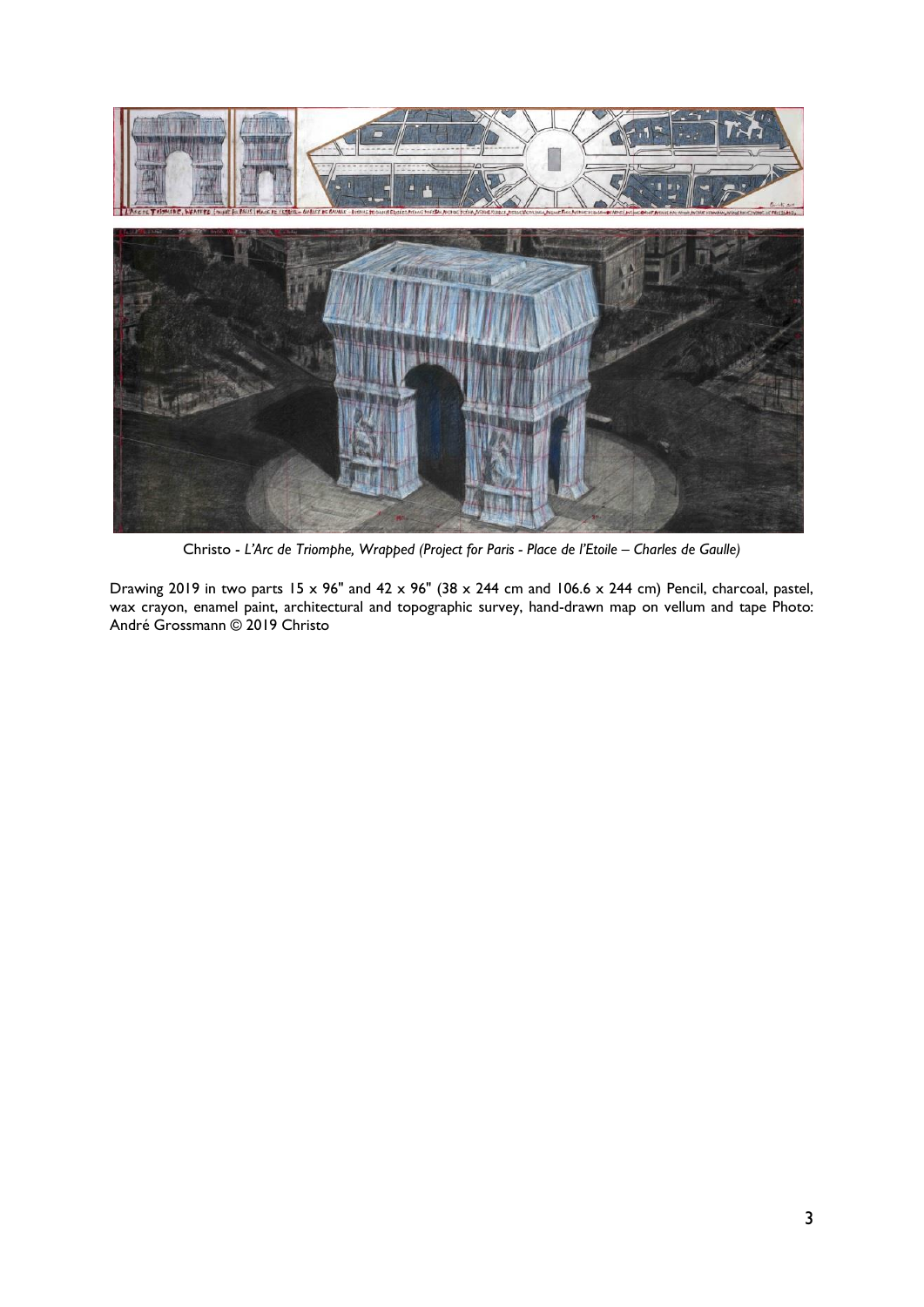

Christo - *L'Arc de Triomphe, Wrapped (Project for Paris - Place de l'Etoile – Charles de Gaulle)*

Drawing 2019 in two parts 15 x 96" and 42 x 96" (38 x 244 cm and 106.6 x 244 cm) Pencil, charcoal, pastel, wax crayon, enamel paint, architectural and topographic survey, hand-drawn map on vellum and tape Photo: André Grossmann © 2019 Christo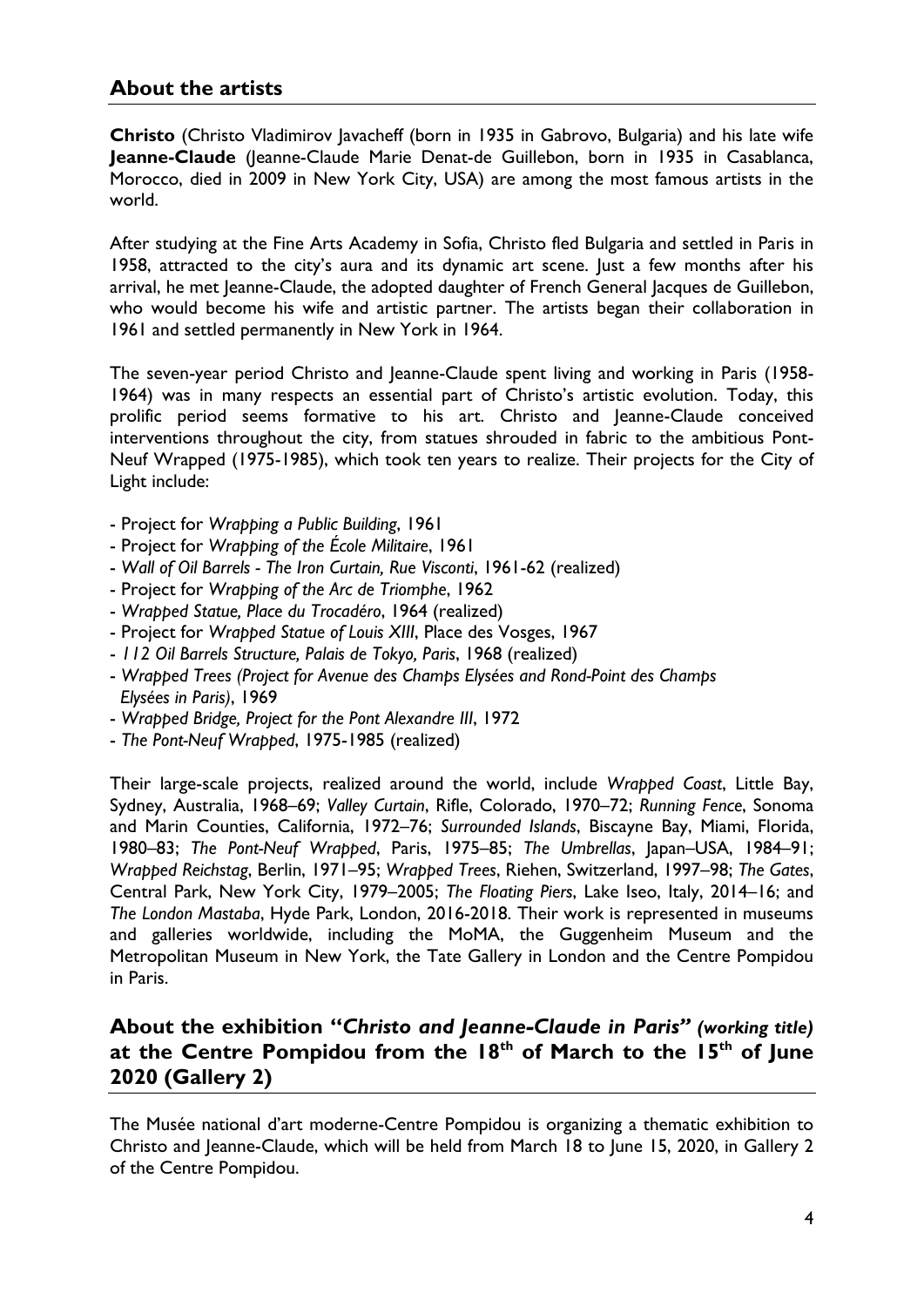# **About the artists**

**Christo** (Christo Vladimirov Javacheff (born in 1935 in Gabrovo, Bulgaria) and his late wife **Jeanne-Claude** (Jeanne-Claude Marie Denat-de Guillebon, born in 1935 in Casablanca, Morocco, died in 2009 in New York City, USA) are among the most famous artists in the world.

After studying at the Fine Arts Academy in Sofia, Christo fled Bulgaria and settled in Paris in 1958, attracted to the city's aura and its dynamic art scene. Just a few months after his arrival, he met Jeanne-Claude, the adopted daughter of French General Jacques de Guillebon, who would become his wife and artistic partner. The artists began their collaboration in 1961 and settled permanently in New York in 1964.

The seven-year period Christo and Jeanne-Claude spent living and working in Paris (1958- 1964) was in many respects an essential part of Christo's artistic evolution. Today, this prolific period seems formative to his art. Christo and Jeanne-Claude conceived interventions throughout the city, from statues shrouded in fabric to the ambitious Pont-Neuf Wrapped (1975-1985), which took ten years to realize. Their projects for the City of Light include:

- Project for *Wrapping a Public Building*, 1961
- Project for *Wrapping of the École Militaire*, 1961
- *Wall of Oil Barrels - The Iron Curtain, Rue Visconti*, 1961-62 (realized)
- Project for *Wrapping of the Arc de Triomphe*, 1962
- *Wrapped Statue, Place du Trocadéro*, 1964 (realized)
- Project for *Wrapped Statue of Louis XIII*, Place des Vosges, 1967
- *112 Oil Barrels Structure, Palais de Tokyo, Paris*, 1968 (realized)
- *Wrapped Trees (Project for Avenue des Champs Elysées and Rond-Point des Champs Elysées in Paris)*, 1969
- *Wrapped Bridge, Project for the Pont Alexandre III*, 1972
- *The Pont-Neuf Wrapped*, 1975-1985 (realized)

Their large-scale projects, realized around the world, include *Wrapped Coast*, Little Bay, Sydney, Australia, 1968–69; *Valley Curtain*, Rifle, Colorado, 1970–72; *Running Fence*, Sonoma and Marin Counties, California, 1972–76; *Surrounded Islands*, Biscayne Bay, Miami, Florida, 1980–83; *The Pont-Neuf Wrapped*, Paris, 1975–85; *The Umbrellas*, Japan–USA, 1984–91; *Wrapped Reichstag*, Berlin, 1971–95; *Wrapped Trees*, Riehen, Switzerland, 1997–98; *The Gates*, Central Park, New York City, 1979–2005; *The Floating Piers*, Lake Iseo, Italy, 2014–16; and *The London Mastaba*, Hyde Park, London, 2016-2018. Their work is represented in museums and galleries worldwide, including the MoMA, the Guggenheim Museum and the Metropolitan Museum in New York, the Tate Gallery in London and the Centre Pompidou in Paris.

# **About the exhibition "***Christo and Jeanne-Claude in Paris" (working title)* **at the Centre Pompidou from the 18th of March to the 15th of June 2020 (Gallery 2)**

The Musée national d'art moderne-Centre Pompidou is organizing a thematic exhibition to Christo and Jeanne-Claude, which will be held from March 18 to June 15, 2020, in Gallery 2 of the Centre Pompidou.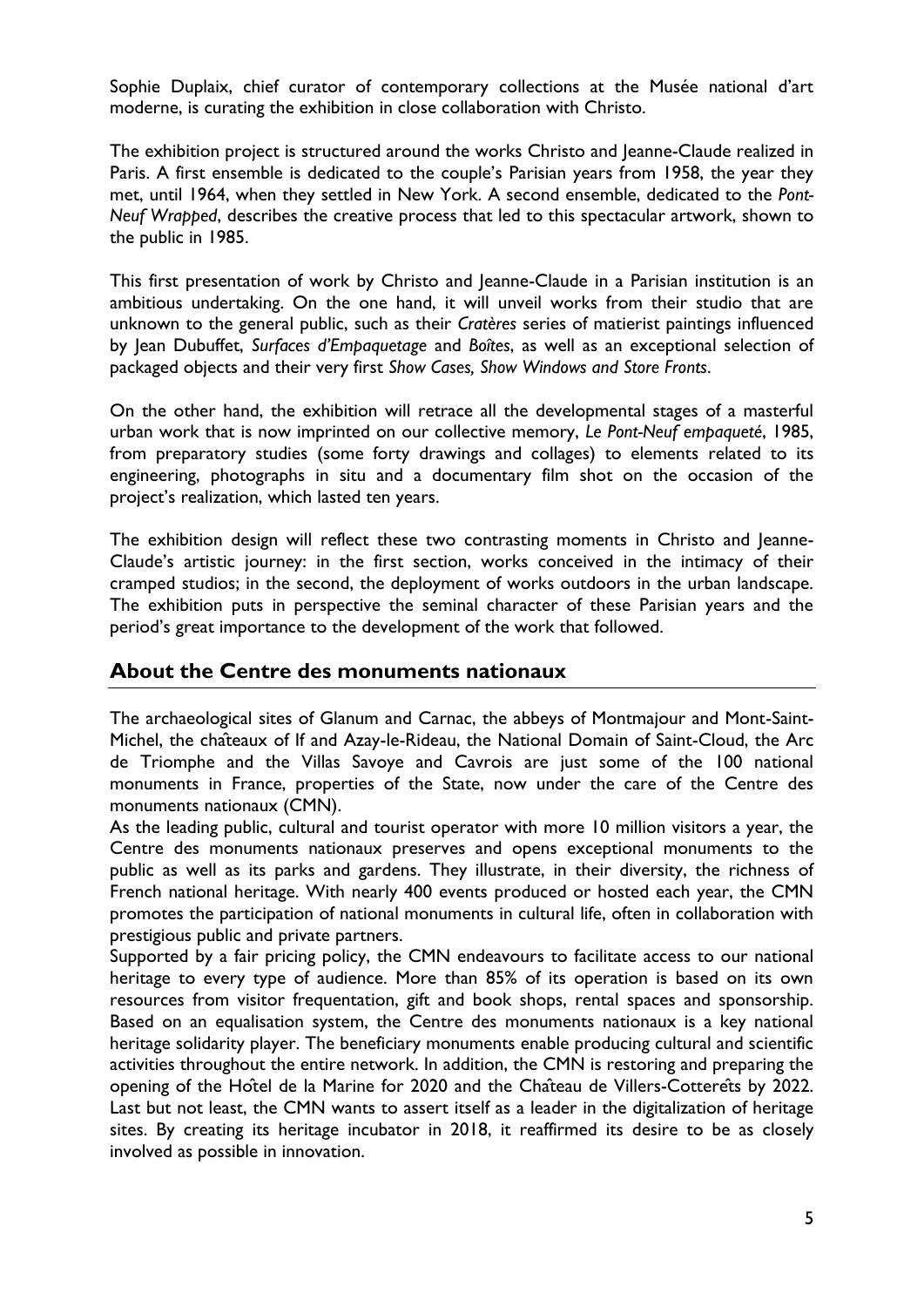Sophie Duplaix, chief curator of contemporary collections at the Musée national d'art moderne, is curating the exhibition in close collaboration with Christo.

The exhibition project is structured around the works Christo and Jeanne-Claude realized in Paris. A first ensemble is dedicated to the couple's Parisian years from 1958, the year they met, until 1964, when they settled in New York. A second ensemble, dedicated to the *Pont-Neuf Wrapped*, describes the creative process that led to this spectacular artwork, shown to the public in 1985.

This first presentation of work by Christo and Jeanne-Claude in a Parisian institution is an ambitious undertaking. On the one hand, it will unveil works from their studio that are unknown to the general public, such as their *Cratères* series of matierist paintings influenced by Jean Dubuffet, *Surfaces d'Empaquetage* and *Boîtes*, as well as an exceptional selection of packaged objects and their very first *Show Cases, Show Windows and Store Fronts*.

On the other hand, the exhibition will retrace all the developmental stages of a masterful urban work that is now imprinted on our collective memory, *Le Pont-Neuf empaqueté*, 1985, from preparatory studies (some forty drawings and collages) to elements related to its engineering, photographs in situ and a documentary film shot on the occasion of the project's realization, which lasted ten years.

The exhibition design will reflect these two contrasting moments in Christo and Jeanne-Claude's artistic journey: in the first section, works conceived in the intimacy of their cramped studios; in the second, the deployment of works outdoors in the urban landscape. The exhibition puts in perspective the seminal character of these Parisian years and the period's great importance to the development of the work that followed.

## **About the Centre des monuments nationaux**

The archaeological sites of Glanum and Carnac, the abbeys of Montmajour and Mont-Saint-Michel, the châteaux of If and Azay-le-Rideau, the National Domain of Saint-Cloud, the Arc de Triomphe and the Villas Savoye and Cavrois are just some of the 100 national monuments in France, properties of the State, now under the care of the Centre des monuments nationaux (CMN).

As the leading public, cultural and tourist operator with more 10 million visitors a year, the Centre des monuments nationaux preserves and opens exceptional monuments to the public as well as its parks and gardens. They illustrate, in their diversity, the richness of French national heritage. With nearly 400 events produced or hosted each year, the CMN promotes the participation of national monuments in cultural life, often in collaboration with prestigious public and private partners.

Supported by a fair pricing policy, the CMN endeavours to facilitate access to our national heritage to every type of audience. More than 85% of its operation is based on its own resources from visitor frequentation, gift and book shops, rental spaces and sponsorship. Based on an equalisation system, the Centre des monuments nationaux is a key national heritage solidarity player. The beneficiary monuments enable producing cultural and scientific activities throughout the entire network. In addition, the CMN is restoring and preparing the opening of the Hôtel de la Marine for 2020 and the Château de Villers-Cotterêts by 2022. Last but not least, the CMN wants to assert itself as a leader in the digitalization of heritage sites. By creating its heritage incubator in 2018, it reaffirmed its desire to be as closely involved as possible in innovation.